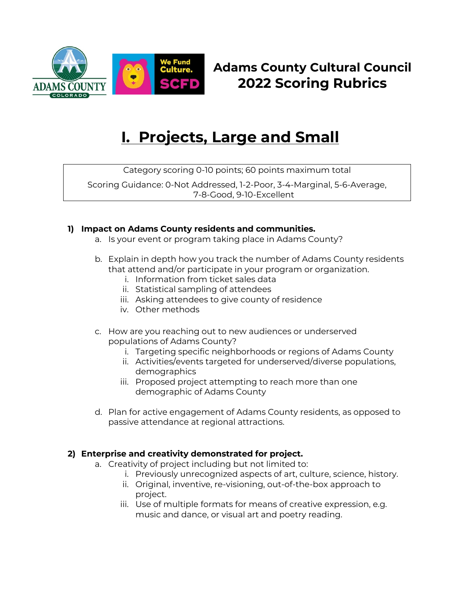

# **Adams County Cultural Council 2022 Scoring Rubrics**

# **I. Projects, Large and Small**

Category scoring 0-10 points; 60 points maximum total

Scoring Guidance: 0-Not Addressed, 1-2-Poor, 3-4-Marginal, 5-6-Average, 7-8-Good, 9-10-Excellent

# **1) Impact on Adams County residents and communities.**

- a. Is your event or program taking place in Adams County?
- b. Explain in depth how you track the number of Adams County residents that attend and/or participate in your program or organization.
	- i. Information from ticket sales data
	- ii. Statistical sampling of attendees
	- iii. Asking attendees to give county of residence
	- iv. Other methods
- c. How are you reaching out to new audiences or underserved populations of Adams County?
	- i. Targeting specific neighborhoods or regions of Adams County
	- ii. Activities/events targeted for underserved/diverse populations, demographics
	- iii. Proposed project attempting to reach more than one demographic of Adams County
- d. Plan for active engagement of Adams County residents, as opposed to passive attendance at regional attractions.

## **2) Enterprise and creativity demonstrated for project.**

- a. Creativity of project including but not limited to:
	- i. Previously unrecognized aspects of art, culture, science, history.
	- ii. Original, inventive, re-visioning, out-of-the-box approach to project.
	- iii. Use of multiple formats for means of creative expression, e.g. music and dance, or visual art and poetry reading.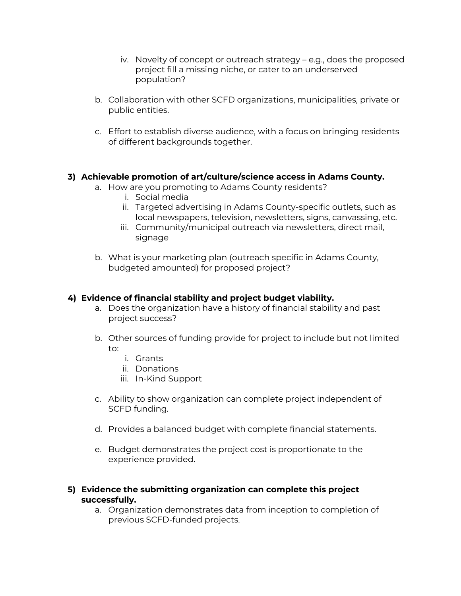- iv. Novelty of concept or outreach strategy e.g., does the proposed project fill a missing niche, or cater to an underserved population?
- b. Collaboration with other SCFD organizations, municipalities, private or public entities.
- c. Effort to establish diverse audience, with a focus on bringing residents of different backgrounds together.

#### **3) Achievable promotion of art/culture/science access in Adams County.**

- a. How are you promoting to Adams County residents?
	- i. Social media
	- ii. Targeted advertising in Adams County-specific outlets, such as local newspapers, television, newsletters, signs, canvassing, etc.
	- iii. Community/municipal outreach via newsletters, direct mail, signage
- b. What is your marketing plan (outreach specific in Adams County, budgeted amounted) for proposed project?

#### **4) Evidence of financial stability and project budget viability.**

- a. Does the organization have a history of financial stability and past project success?
- b. Other sources of funding provide for project to include but not limited to:
	- i. Grants
	- ii. Donations
	- iii. In-Kind Support
- c. Ability to show organization can complete project independent of SCFD funding.
- d. Provides a balanced budget with complete financial statements.
- e. Budget demonstrates the project cost is proportionate to the experience provided.

#### **5) Evidence the submitting organization can complete this project successfully.**

a. Organization demonstrates data from inception to completion of previous SCFD-funded projects.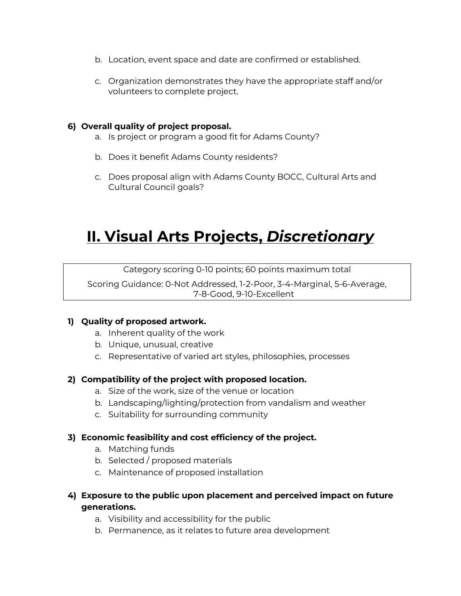- b. Location, event space and date are confirmed or established.
- c. Organization demonstrates they have the appropriate staff and/or volunteers to complete project.

#### **6) Overall quality of project proposal.**

- a. Is project or program a good fit for Adams County?
- b. Does it benefit Adams County residents?
- c. Does proposal align with Adams County BOCC, Cultural Arts and Cultural Council goals?

# **II. Visual Arts Projects,** *Discretionary*

Category scoring 0-10 points; 60 points maximum total

Scoring Guidance: 0-Not Addressed, 1-2-Poor, 3-4-Marginal, 5-6-Average, 7-8-Good, 9-10-Excellent

## **1) Quality of proposed artwork.**

- a. Inherent quality of the work
- b. Unique, unusual, creative
- c. Representative of varied art styles, philosophies, processes

## **2) Compatibility of the project with proposed location.**

- a. Size of the work, size of the venue or location
- b. Landscaping/lighting/protection from vandalism and weather
- c. Suitability for surrounding community

#### **3) Economic feasibility and cost efficiency of the project.**

- a. Matching funds
- b. Selected / proposed materials
- c. Maintenance of proposed installation
- **4) Exposure to the public upon placement and perceived impact on future generations.**
	- a. Visibility and accessibility for the public
	- b. Permanence, as it relates to future area development